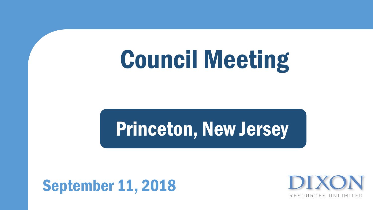### Council Meeting

### Princeton, New Jersey

### September 11, 2018

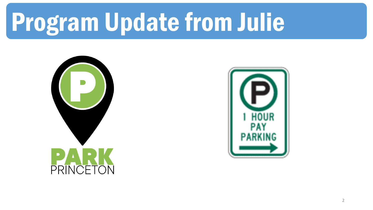# Program Update from Julie



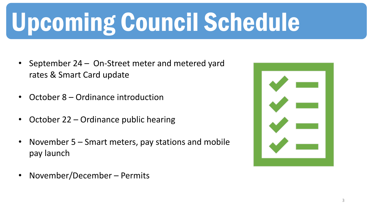# Upcoming Council Schedule

- September  $24 -$  On-Street meter and metered yard rates & Smart Card update
- October 8 Ordinance introduction
- October 22 Ordinance public hearing
- November 5 Smart meters, pay stations and mobile pay launch
- November/December Permits

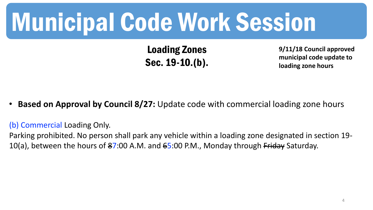### Municipal Code Work Session

Loading Zones Sec. 19-10.(b).

**9/11/18 Council approved municipal code update to loading zone hours**

**Based on Approval by Council 8/27:** Update code with commercial loading zone hours

(b) Commercial Loading Only.

Parking prohibited. No person shall park any vehicle within a loading zone designated in section 19- 10(a), between the hours of  $87:00$  A.M. and  $65:00$  P.M., Monday through Friday Saturday.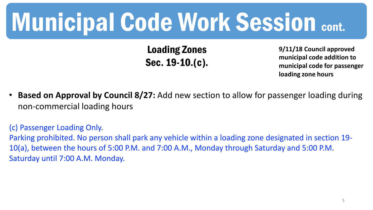Loading Zones Sec. 19-10.(c).

**9/11/18 Council approved municipal code addition to municipal code for passenger loading zone hours**

• **Based on Approval by Council 8/27:** Add new section to allow for passenger loading during non-commercial loading hours

(c) Passenger Loading Only. Parking prohibited. No person shall park any vehicle within a loading zone designated in section 19- 10(a), between the hours of 5:00 P.M. and 7:00 A.M., Monday through Saturday and 5:00 P.M. Saturday until 7:00 A.M. Monday.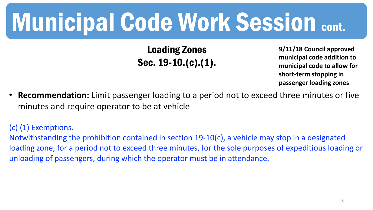Loading Zones Sec. 19-10.(c).(1).

**9/11/18 Council approved municipal code addition to municipal code to allow for short-term stopping in passenger loading zones**

• **Recommendation:** Limit passenger loading to a period not to exceed three minutes or five minutes and require operator to be at vehicle

(c) (1) Exemptions.

Notwithstanding the prohibition contained in section 19-10(c), a vehicle may stop in a designated loading zone, for a period not to exceed three minutes, for the sole purposes of expeditious loading or unloading of passengers, during which the operator must be in attendance.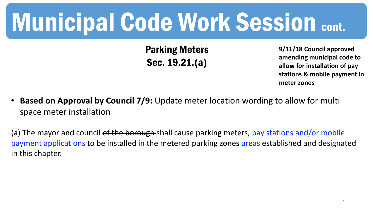Parking Meters Sec. 19.21.(a)

**9/11/18 Council approved amending municipal code to allow for installation of pay stations & mobile payment in meter zones**

• **Based on Approval by Council 7/9:** Update meter location wording to allow for multi space meter installation

(a) The mayor and council of the borough shall cause parking meters, pay stations and/or mobile payment applications to be installed in the metered parking zones areas established and designated in this chapter.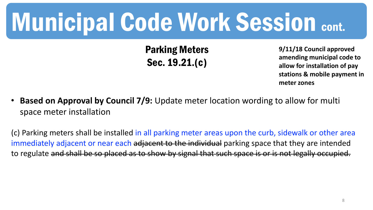Parking Meters Sec. 19.21.(c)

**9/11/18 Council approved amending municipal code to allow for installation of pay stations & mobile payment in meter zones**

• **Based on Approval by Council 7/9:** Update meter location wording to allow for multi space meter installation

(c) Parking meters shall be installed in all parking meter areas upon the curb, sidewalk or other area immediately adjacent or near each adjacent to the individual parking space that they are intended to regulate and shall be so placed as to show by signal that such space is or is not legally occupied.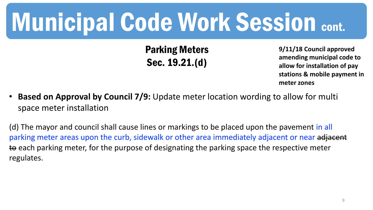Parking Meters Sec. 19.21.(d)

**9/11/18 Council approved amending municipal code to allow for installation of pay stations & mobile payment in meter zones**

• **Based on Approval by Council 7/9:** Update meter location wording to allow for multi space meter installation

(d) The mayor and council shall cause lines or markings to be placed upon the pavement in all parking meter areas upon the curb, sidewalk or other area immediately adjacent or near adjacent to each parking meter, for the purpose of designating the parking space the respective meter regulates.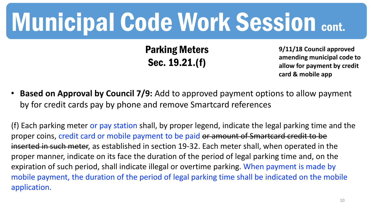Parking Meters Sec. 19.21.(f)

**9/11/18 Council approved amending municipal code to allow for payment by credit card & mobile app**

• **Based on Approval by Council 7/9:** Add to approved payment options to allow payment by for credit cards pay by phone and remove Smartcard references

(f) Each parking meter or pay station shall, by proper legend, indicate the legal parking time and the proper coins, credit card or mobile payment to be paid or amount of Smartcard credit to be inserted in such meter, as established in section 19-32. Each meter shall, when operated in the proper manner, indicate on its face the duration of the period of legal parking time and, on the expiration of such period, shall indicate illegal or overtime parking. When payment is made by mobile payment, the duration of the period of legal parking time shall be indicated on the mobile application.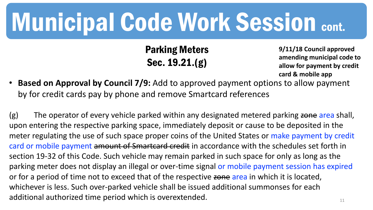Parking Meters Sec. 19.21.(g)

**9/11/18 Council approved amending municipal code to allow for payment by credit card & mobile app**

• **Based on Approval by Council 7/9:** Add to approved payment options to allow payment by for credit cards pay by phone and remove Smartcard references

11 (g) The operator of every vehicle parked within any designated metered parking zone area shall, upon entering the respective parking space, immediately deposit or cause to be deposited in the meter regulating the use of such space proper coins of the United States or make payment by credit card or mobile payment amount of Smartcard credit in accordance with the schedules set forth in section 19-32 of this Code. Such vehicle may remain parked in such space for only as long as the parking meter does not display an illegal or over-time signal or mobile payment session has expired or for a period of time not to exceed that of the respective zone area in which it is located, whichever is less. Such over-parked vehicle shall be issued additional summonses for each additional authorized time period which is overextended.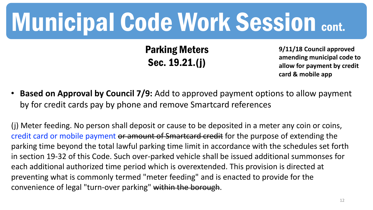Parking Meters Sec. 19.21.(j)

**9/11/18 Council approved amending municipal code to allow for payment by credit card & mobile app**

• **Based on Approval by Council 7/9:** Add to approved payment options to allow payment by for credit cards pay by phone and remove Smartcard references

(j) Meter feeding. No person shall deposit or cause to be deposited in a meter any coin or coins, credit card or mobile payment or amount of Smartcard credit for the purpose of extending the parking time beyond the total lawful parking time limit in accordance with the schedules set forth in section 19-32 of this Code. Such over-parked vehicle shall be issued additional summonses for each additional authorized time period which is overextended. This provision is directed at preventing what is commonly termed "meter feeding" and is enacted to provide for the convenience of legal "turn-over parking" within the borough.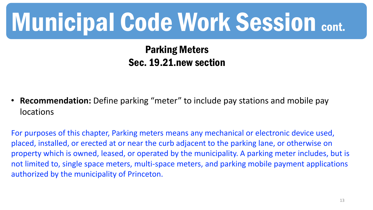Parking Meters Sec. 19.21.new section

• **Recommendation:** Define parking "meter" to include pay stations and mobile pay locations

For purposes of this chapter, Parking meters means any mechanical or electronic device used, placed, installed, or erected at or near the curb adjacent to the parking lane, or otherwise on property which is owned, leased, or operated by the municipality. A parking meter includes, but is not limited to, single space meters, multi-space meters, and parking mobile payment applications authorized by the municipality of Princeton.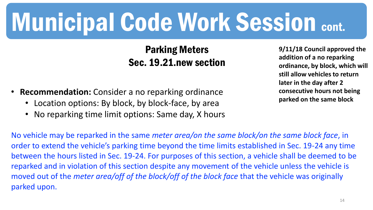#### Parking Meters Sec. 19.21.new section

- **Recommendation:** Consider a no reparking ordinance
	- Location options: By block, by block-face, by area
	- No reparking time limit options: Same day, X hours

**9/11/18 Council approved the addition of a no reparking ordinance, by block, which will still allow vehicles to return later in the day after 2 consecutive hours not being parked on the same block**

No vehicle may be reparked in the same *meter area/on the same block/on the same block face*, in order to extend the vehicle's parking time beyond the time limits established in Sec. 19-24 any time between the hours listed in Sec. 19-24. For purposes of this section, a vehicle shall be deemed to be reparked and in violation of this section despite any movement of the vehicle unless the vehicle is moved out of the *meter area/off of the block/off of the block face* that the vehicle was originally parked upon.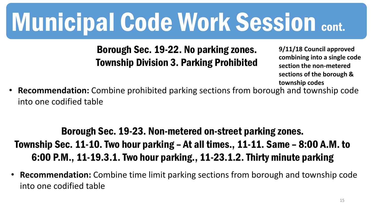Borough Sec. 19-22. No parking zones. Township Division 3. Parking Prohibited

**9/11/18 Council approved combining into a single code section the non-metered sections of the borough & township codes**

• **Recommendation:** Combine prohibited parking sections from borough and township code into one codified table

### Borough Sec. 19-23. Non-metered on-street parking zones. Township Sec. 11-10. Two hour parking – At all times., 11-11. Same – 8:00 A.M. to 6:00 P.M., 11-19.3.1. Two hour parking., 11-23.1.2. Thirty minute parking

• **Recommendation:** Combine time limit parking sections from borough and township code into one codified table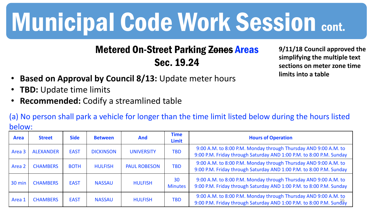#### Metered On-Street Parking Zones Areas Sec. 19.24

**9/11/18 Council approved the simplifying the multiple text sections on meter zone time limits into a table**

- **Based on Approval by Council 8/13:** Update meter hours
- **TBD:** Update time limits
- **Recommended:** Codify a streamlined table

(a) No person shall park a vehicle for longer than the time limit listed below during the hours listed below:

| N J I V V V 0 |                  |             |                  |                     |                             |                                                                                                                                        |
|---------------|------------------|-------------|------------------|---------------------|-----------------------------|----------------------------------------------------------------------------------------------------------------------------------------|
| <b>Area</b>   | <b>Street</b>    | <b>Side</b> | <b>Between</b>   | <b>And</b>          | <b>Time</b><br><b>Limit</b> | <b>Hours of Operation</b>                                                                                                              |
| Area 3        | <b>ALEXANDER</b> | <b>EAST</b> | <b>DICKINSON</b> | <b>UNIVERSITY</b>   | <b>TBD</b>                  | 9:00 A.M. to 8:00 P.M. Monday through Thursday AND 9:00 A.M. to<br>9:00 P.M. Friday through Saturday AND 1:00 P.M. to 8:00 P.M. Sunday |
| Area 2        | <b>CHAMBERS</b>  | <b>BOTH</b> | <b>HULFISH</b>   | <b>PAUL ROBESON</b> | <b>TBD</b>                  | 9:00 A.M. to 8:00 P.M. Monday through Thursday AND 9:00 A.M. to<br>9:00 P.M. Friday through Saturday AND 1:00 P.M. to 8:00 P.M. Sunday |
| 30 min        | <b>CHAMBERS</b>  | <b>EAST</b> | <b>NASSAU</b>    | <b>HULFISH</b>      | 30<br><b>Minutes</b>        | 9:00 A.M. to 8:00 P.M. Monday through Thursday AND 9:00 A.M. to<br>9:00 P.M. Friday through Saturday AND 1:00 P.M. to 8:00 P.M. Sunday |
| Area 1        | <b>CHAMBERS</b>  | <b>EAST</b> | <b>NASSAU</b>    | <b>HULFISH</b>      | <b>TBD</b>                  | 9:00 A.M. to 8:00 P.M. Monday through Thursday AND 9:00 A.M. to<br>9:00 P.M. Friday through Saturday AND 1:00 P.M. to 8:00 P.M. Sunday |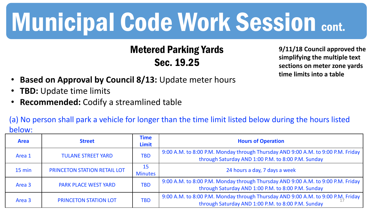#### Metered Parking Yards Sec. 19.25

**9/11/18 Council approved the simplifying the multiple text sections on meter zone yards time limits into a table**

- **Based on Approval by Council 8/13:** Update meter hours
- **TBD:** Update time limits
- **Recommended:** Codify a streamlined table

(a) No person shall park a vehicle for longer than the time limit listed below during the hours listed below:

| <b>Area</b> | <b>Street</b>                | <b>Time</b><br><b>Limit</b> | <b>Hours of Operation</b>                                                                                                              |
|-------------|------------------------------|-----------------------------|----------------------------------------------------------------------------------------------------------------------------------------|
| Area 1      | <b>TULANE STREET YARD</b>    | <b>TBD</b>                  | 9:00 A.M. to 8:00 P.M. Monday through Thursday AND 9:00 A.M. to 9:00 P.M. Friday<br>through Saturday AND 1:00 P.M. to 8:00 P.M. Sunday |
| 15 min      | PRINCETON STATION RETAIL LOT | 15<br><b>Minutes</b>        | 24 hours a day, 7 days a week                                                                                                          |
| Area 3      | <b>PARK PLACE WEST YARD</b>  | <b>TBD</b>                  | 9:00 A.M. to 8:00 P.M. Monday through Thursday AND 9:00 A.M. to 9:00 P.M. Friday<br>through Saturday AND 1:00 P.M. to 8:00 P.M. Sunday |
| Area 3      | PRINCETON STATION LOT        | <b>TBD</b>                  | 9:00 A.M. to 8:00 P.M. Monday through Thursday AND 9:00 A.M. to 9:00 P.M. Friday<br>through Saturday AND 1:00 P.M. to 8:00 P.M. Sunday |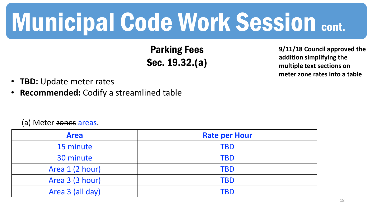Parking Fees Sec. 19.32.(a)

**9/11/18 Council approved the addition simplifying the multiple text sections on meter zone rates into a table**

- **TBD:** Update meter rates
- **Recommended:** Codify a streamlined table

#### (a) Meter zones areas.

| <b>Area</b>      | <b>Rate per Hour</b> |
|------------------|----------------------|
| 15 minute        | <b>TBD</b>           |
| 30 minute        | <b>TBD</b>           |
| Area 1 (2 hour)  | <b>TBD</b>           |
| Area 3 (3 hour)  | <b>TBD</b>           |
| Area 3 (all day) | TBD                  |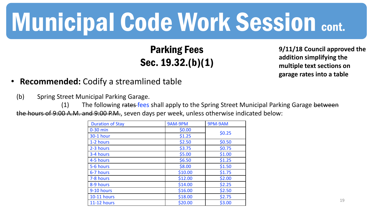#### Parking Fees Sec. 19.32.(b)(1)

**9/11/18 Council approved the addition simplifying the multiple text sections on garage rates into a table**

- **Recommended:** Codify a streamlined table
	- (b) Spring Street Municipal Parking Garage.

(1) The following rates fees shall apply to the Spring Street Municipal Parking Garage between the hours of 9:00 A.M. and 9:00 P.M., seven days per week, unless otherwise indicated below:

| <b>Duration of Stay</b> | 9AM-9PM | 9PM-9AM |  |
|-------------------------|---------|---------|--|
| $0-30$ min              | \$0.00  | \$0.25  |  |
| <b>30-1 hour</b>        | \$1.25  |         |  |
| 1-2 hours               | \$2.50  | \$0.50  |  |
| 2-3 hours               | \$3.75  | \$0.75  |  |
| 3-4 hours               | \$5.00  | \$1.00  |  |
| 4-5 hours               | \$6.50  | \$1.25  |  |
| 5-6 hours               | \$8.00  | \$1.50  |  |
| 6-7 hours               | \$10.00 | \$1.75  |  |
| 7-8 hours               | \$12.00 | \$2.00  |  |
| 8-9 hours               | \$14.00 | \$2.25  |  |
| 9-10 hours              | \$16.00 | \$2.50  |  |
| <b>10-11 hours</b>      | \$18.00 | \$2.75  |  |
| <b>11-12 hours</b>      | \$20.00 | \$3.00  |  |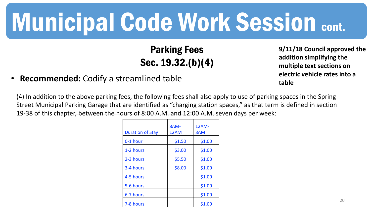### Parking Fees Sec. 19.32.(b)(4)

#### **9/11/18 Council approved the addition simplifying the multiple text sections on electric vehicle rates into a table**

• **Recommended:** Codify a streamlined table

(4) In addition to the above parking fees, the following fees shall also apply to use of parking spaces in the Spring Street Municipal Parking Garage that are identified as "charging station spaces," as that term is defined in section 19-38 of this chapter, between the hours of 8:00 A.M. and 12:00 A.M. seven days per week:

| <b>Duration of Stay</b> | 8AM-<br>12AM | 12AM-<br>8AM |
|-------------------------|--------------|--------------|
| 0-1 hour                | \$1.50       | \$1.00       |
| 1-2 hours               | \$3.00       | \$1.00       |
| 2-3 hours               | \$5.50       | \$1.00       |
| 3-4 hours               | \$8.00       | \$1.00       |
| 4-5 hours               |              | \$1.00       |
| 5-6 hours               |              | \$1.00       |
| 6-7 hours               |              | \$1.00       |
| 7-8 hours               |              | \$1.00       |